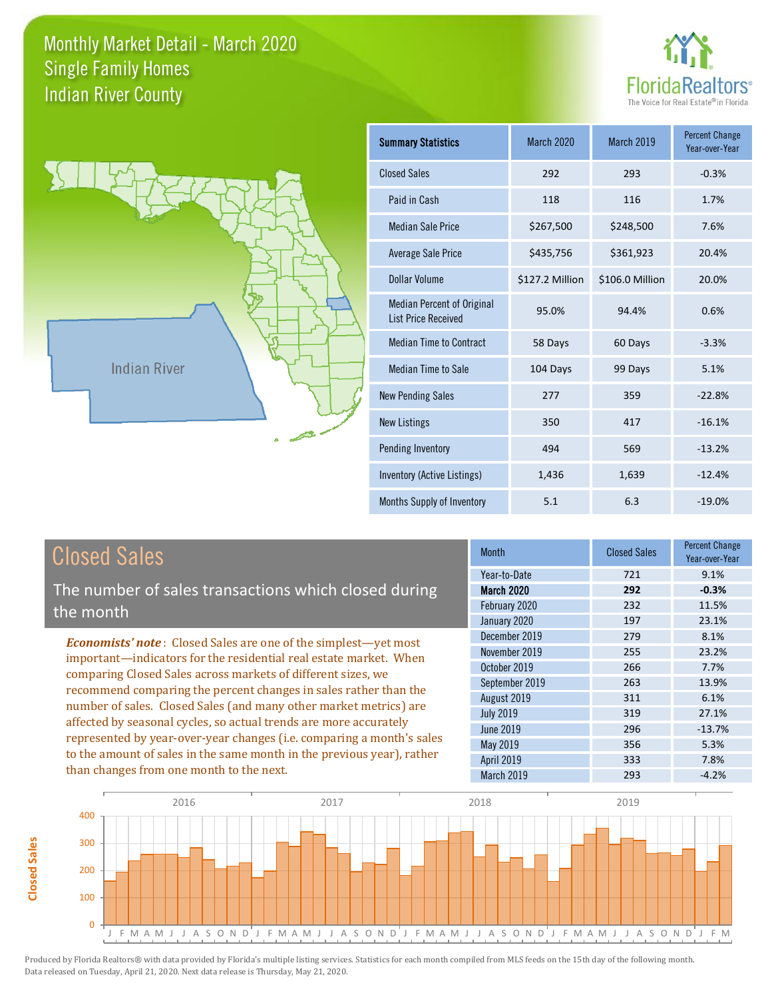



**Closed Sales**

**Closed Sales** 

| <b>Summary Statistics</b>                                       | March 2020      | March 2019      | <b>Percent Change</b><br>Year-over-Year |
|-----------------------------------------------------------------|-----------------|-----------------|-----------------------------------------|
| <b>Closed Sales</b>                                             | 292             | 293             | $-0.3%$                                 |
| Paid in Cash                                                    | 118             | 116             | 1.7%                                    |
| <b>Median Sale Price</b>                                        | \$267,500       | \$248,500       | 7.6%                                    |
| Average Sale Price                                              | \$435,756       | \$361,923       | 20.4%                                   |
| Dollar Volume                                                   | \$127.2 Million | \$106.0 Million | 20.0%                                   |
| <b>Median Percent of Original</b><br><b>List Price Received</b> | 95.0%           | 94.4%           | 0.6%                                    |
| <b>Median Time to Contract</b>                                  | 58 Days         | 60 Days         | $-3.3%$                                 |
| <b>Median Time to Sale</b>                                      | 104 Days        | 99 Days         | 5.1%                                    |
| <b>New Pending Sales</b>                                        | 277             | 359             | $-22.8%$                                |
| <b>New Listings</b>                                             | 350             | 417             | $-16.1%$                                |
| Pending Inventory                                               | 494             | 569             | $-13.2%$                                |
| Inventory (Active Listings)                                     | 1,436           | 1,639           | $-12.4%$                                |
| Months Supply of Inventory                                      | 5.1             | 6.3             | $-19.0%$                                |

| <b>Closed Sales</b>                                                                                                                                                                                                                                                                                                                                                                                                                                                                                                                                                                                                      | <b>Month</b>                                                                                                                                             | <b>Closed Sales</b>                                                | <b>Percent Change</b><br>Year-over-Year                                                |
|--------------------------------------------------------------------------------------------------------------------------------------------------------------------------------------------------------------------------------------------------------------------------------------------------------------------------------------------------------------------------------------------------------------------------------------------------------------------------------------------------------------------------------------------------------------------------------------------------------------------------|----------------------------------------------------------------------------------------------------------------------------------------------------------|--------------------------------------------------------------------|----------------------------------------------------------------------------------------|
| The number of sales transactions which closed during<br>the month                                                                                                                                                                                                                                                                                                                                                                                                                                                                                                                                                        | Year-to-Date<br><b>March 2020</b><br>February 2020<br>January 2020                                                                                       | 721<br>292<br>232<br>197                                           | 9.1%<br>$-0.3%$<br>11.5%<br>23.1%                                                      |
| <b>Economists' note:</b> Closed Sales are one of the simplest—yet most<br>important—indicators for the residential real estate market. When<br>comparing Closed Sales across markets of different sizes, we<br>recommend comparing the percent changes in sales rather than the<br>number of sales. Closed Sales (and many other market metrics) are<br>affected by seasonal cycles, so actual trends are more accurately<br>represented by year-over-year changes (i.e. comparing a month's sales<br>to the amount of sales in the same month in the previous year), rather<br>than changes from one month to the next. | December 2019<br>November 2019<br>October 2019<br>September 2019<br>August 2019<br><b>July 2019</b><br>June 2019<br>May 2019<br>April 2019<br>March 2019 | 279<br>255<br>266<br>263<br>311<br>319<br>296<br>356<br>333<br>293 | 8.1%<br>23.2%<br>7.7%<br>13.9%<br>6.1%<br>27.1%<br>$-13.7%$<br>5.3%<br>7.8%<br>$-4.2%$ |

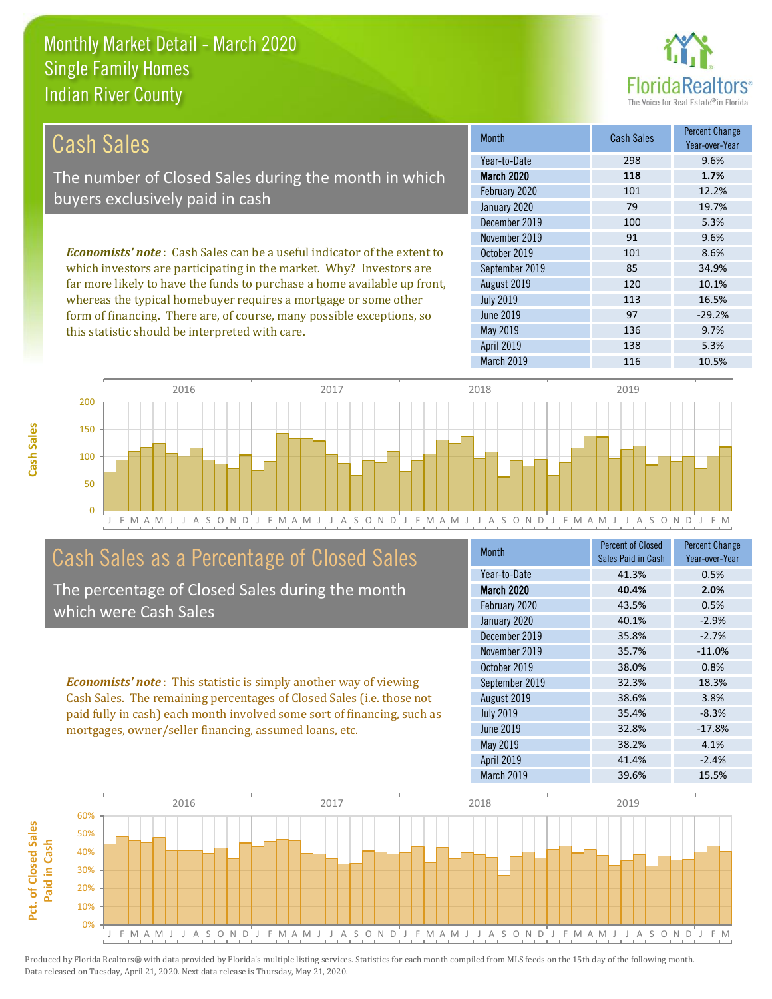this statistic should be interpreted with care.



136 9.7%

| Cash Sales                                                                     | <b>Month</b>      | Cash Sales | <b>Percent Change</b><br>Year-over-Year |
|--------------------------------------------------------------------------------|-------------------|------------|-----------------------------------------|
|                                                                                | Year-to-Date      | 298        | 9.6%                                    |
| The number of Closed Sales during the month in which                           | <b>March 2020</b> | 118        | 1.7%                                    |
| buyers exclusively paid in cash                                                | February 2020     | 101        | 12.2%                                   |
|                                                                                | January 2020      | 79         | 19.7%                                   |
|                                                                                | December 2019     | 100        | 5.3%                                    |
|                                                                                | November 2019     | 91         | 9.6%                                    |
| <b>Economists' note:</b> Cash Sales can be a useful indicator of the extent to | October 2019      | 101        | 8.6%                                    |
| which investors are participating in the market. Why? Investors are            | September 2019    | 85         | 34.9%                                   |
| far more likely to have the funds to purchase a home available up front,       | August 2019       | 120        | 10.1%                                   |
| whereas the typical homebuyer requires a mortgage or some other                | <b>July 2019</b>  | 113        | 16.5%                                   |
| form of financing. There are, of course, many possible exceptions, so          | June 2019         | 97         | $-29.2%$                                |

May 2019



## Cash Sales as a Percentage of Closed Sales

The percentage of Closed Sales during the month which were Cash Sales

*Economists' note* : This statistic is simply another way of viewing Cash Sales. The remaining percentages of Closed Sales (i.e. those not paid fully in cash) each month involved some sort of financing, such as mortgages, owner/seller financing, assumed loans, etc.

| <b>Month</b>      | <b>Percent of Closed</b><br>Sales Paid in Cash | <b>Percent Change</b><br>Year-over-Year |
|-------------------|------------------------------------------------|-----------------------------------------|
| Year-to-Date      | 41.3%                                          | 0.5%                                    |
| March 2020        | 40.4%                                          | 2.0%                                    |
| February 2020     | 43.5%                                          | 0.5%                                    |
| January 2020      | 40.1%                                          | $-2.9%$                                 |
| December 2019     | 35.8%                                          | $-2.7%$                                 |
| November 2019     | 35.7%                                          | $-11.0%$                                |
| October 2019      | 38.0%                                          | 0.8%                                    |
| September 2019    | 32.3%                                          | 18.3%                                   |
| August 2019       | 38.6%                                          | 3.8%                                    |
| <b>July 2019</b>  | 35.4%                                          | $-8.3%$                                 |
| June 2019         | 32.8%                                          | $-17.8%$                                |
| May 2019          | 38.2%                                          | 4.1%                                    |
| <b>April 2019</b> | 41.4%                                          | $-2.4%$                                 |
| March 2019        | 39.6%                                          | 15.5%                                   |

April 2019 138 5.3%

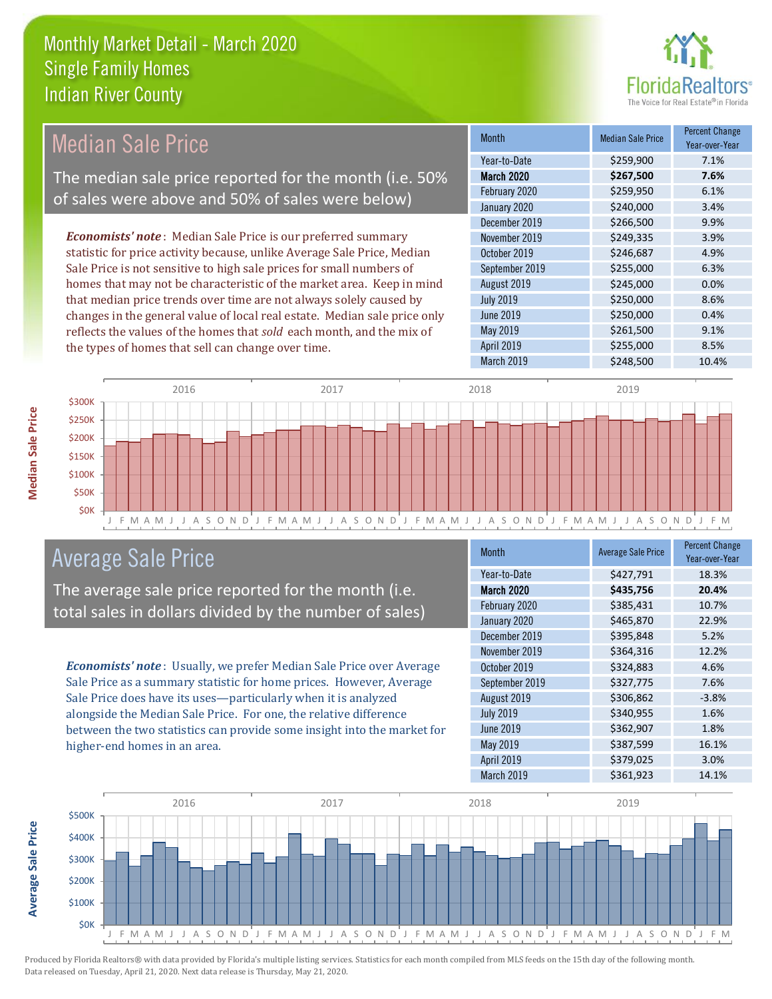

#### Month Median Sale Price Percent Change Year-over-Year March 2020 **\$267,500 7.6%** Year-to-Date \$259,900 7.1% August 2019 **\$245,000 0.0%** February 2020 \$259,950 6.1% January 2020 **\$240,000** \$240,000 3.4% October 2019 **\$246,687** 4.9% September 2019 \$255,000 6.3% December 2019 **\$266,500** \$266,500 November 2019 **\$249,335** 3.9% July 2019 **\$250,000** \$250,000 8.6% June 2019 **\$250,000 0.4%** May 2019 **\$261,500** \$261,500 April 2019 **\$255,000** \$255,000 March 2019 \$248,500 10.4% *Economists' note* : Median Sale Price is our preferred summary statistic for price activity because, unlike Average Sale Price, Median Sale Price is not sensitive to high sale prices for small numbers of homes that may not be characteristic of the market area. Keep in mind that median price trends over time are not always solely caused by changes in the general value of local real estate. Median sale price only reflects the values of the homes that *sold* each month, and the mix of the types of homes that sell can change over time. Median Sale Price The median sale price reported for the month (i.e. 50% of sales were above and 50% of sales were below)



## Average Sale Price

The average sale price reported for the month (i.e. total sales in dollars divided by the number of sales)

*Economists' note* : Usually, we prefer Median Sale Price over Average Sale Price as a summary statistic for home prices. However, Average Sale Price does have its uses—particularly when it is analyzed alongside the Median Sale Price. For one, the relative difference between the two statistics can provide some insight into the market for higher-end homes in an area.

| <b>Month</b>     | <b>Average Sale Price</b> | <b>Percent Change</b><br>Year-over-Year |
|------------------|---------------------------|-----------------------------------------|
| Year-to-Date     | \$427,791                 | 18.3%                                   |
| March 2020       | \$435,756                 | 20.4%                                   |
| February 2020    | \$385,431                 | 10.7%                                   |
| January 2020     | \$465,870                 | 22.9%                                   |
| December 2019    | \$395,848                 | 5.2%                                    |
| November 2019    | \$364,316                 | 12.2%                                   |
| October 2019     | \$324,883                 | 4.6%                                    |
| September 2019   | \$327,775                 | 7.6%                                    |
| August 2019      | \$306,862                 | $-3.8%$                                 |
| <b>July 2019</b> | \$340,955                 | 1.6%                                    |
| <b>June 2019</b> | \$362,907                 | 1.8%                                    |
| May 2019         | \$387,599                 | 16.1%                                   |
| April 2019       | \$379,025                 | 3.0%                                    |
| March 2019       | \$361,923                 | 14.1%                                   |



**Median Sale Price**

**Median Sale Price**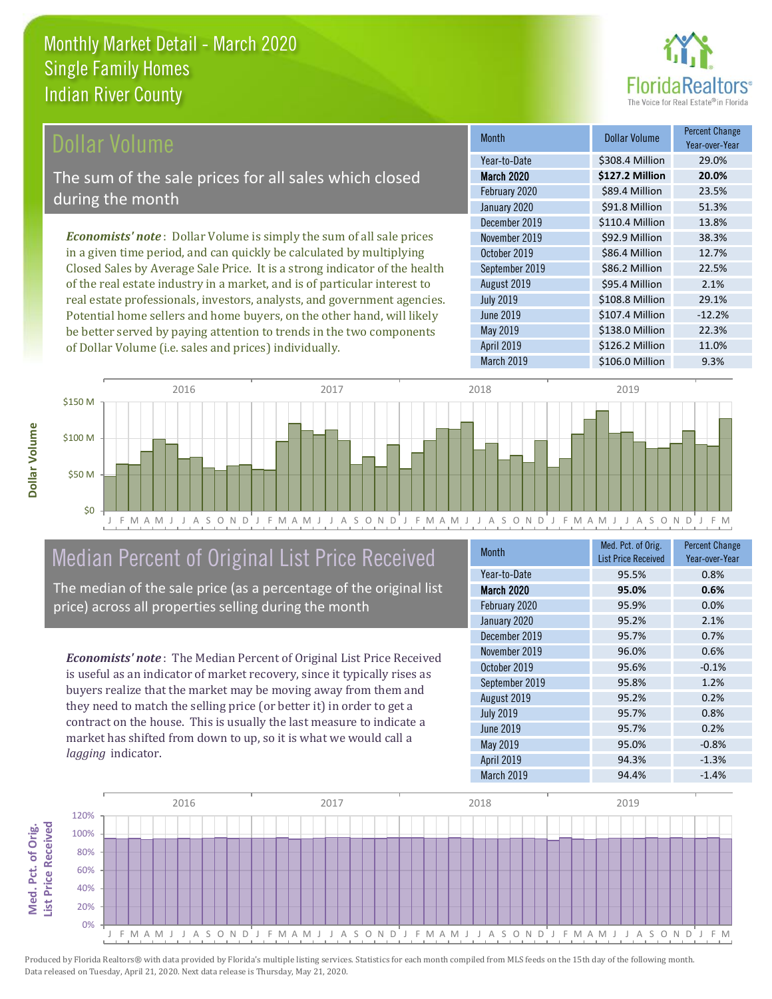

#### Dollar Volume

The sum of the sale prices for all sales which closed during the month

*Economists' note* : Dollar Volume is simply the sum of all sale prices in a given time period, and can quickly be calculated by multiplying Closed Sales by Average Sale Price. It is a strong indicator of the health of the real estate industry in a market, and is of particular interest to real estate professionals, investors, analysts, and government agencies. Potential home sellers and home buyers, on the other hand, will likely be better served by paying attention to trends in the two components of Dollar Volume (i.e. sales and prices) individually.

| <b>Month</b>      | Dollar Volume   | <b>Percent Change</b><br>Year-over-Year |
|-------------------|-----------------|-----------------------------------------|
| Year-to-Date      | \$308.4 Million | 29.0%                                   |
| <b>March 2020</b> | \$127.2 Million | 20.0%                                   |
| February 2020     | \$89.4 Million  | 23.5%                                   |
| January 2020      | \$91.8 Million  | 51.3%                                   |
| December 2019     | \$110.4 Million | 13.8%                                   |
| November 2019     | \$92.9 Million  | 38.3%                                   |
| October 2019      | \$86.4 Million  | 12.7%                                   |
| September 2019    | \$86.2 Million  | 22.5%                                   |
| August 2019       | \$95.4 Million  | 2.1%                                    |
| <b>July 2019</b>  | \$108.8 Million | 29.1%                                   |
| <b>June 2019</b>  | \$107.4 Million | $-12.2%$                                |
| <b>May 2019</b>   | \$138.0 Million | 22.3%                                   |
| April 2019        | \$126.2 Million | 11.0%                                   |
| March 2019        | \$106.0 Million | 9.3%                                    |



# Median Percent of Original List Price Received

The median of the sale price (as a percentage of the original list price) across all properties selling during the month

*Economists' note* : The Median Percent of Original List Price Received is useful as an indicator of market recovery, since it typically rises as buyers realize that the market may be moving away from them and they need to match the selling price (or better it) in order to get a contract on the house. This is usually the last measure to indicate a market has shifted from down to up, so it is what we would call a *lagging* indicator.

| <b>Month</b>     | Med. Pct. of Orig.<br><b>List Price Received</b> | <b>Percent Change</b><br>Year-over-Year |
|------------------|--------------------------------------------------|-----------------------------------------|
| Year-to-Date     | 95.5%                                            | 0.8%                                    |
| March 2020       | 95.0%                                            | 0.6%                                    |
| February 2020    | 95.9%                                            | 0.0%                                    |
| January 2020     | 95.2%                                            | 2.1%                                    |
| December 2019    | 95.7%                                            | 0.7%                                    |
| November 2019    | 96.0%                                            | 0.6%                                    |
| October 2019     | 95.6%                                            | $-0.1%$                                 |
| September 2019   | 95.8%                                            | 1.2%                                    |
| August 2019      | 95.2%                                            | 0.2%                                    |
| <b>July 2019</b> | 95.7%                                            | 0.8%                                    |
| <b>June 2019</b> | 95.7%                                            | 0.2%                                    |
| May 2019         | 95.0%                                            | $-0.8%$                                 |
| April 2019       | 94.3%                                            | $-1.3%$                                 |
| March 2019       | 94.4%                                            | $-1.4%$                                 |



Produced by Florida Realtors® with data provided by Florida's multiple listing services. Statistics for each month compiled from MLS feeds on the 15th day of the following month. Data released on Tuesday, April 21, 2020. Next data release is Thursday, May 21, 2020.

**Med. Pct. of Orig.** 

Med. Pct. of Orig.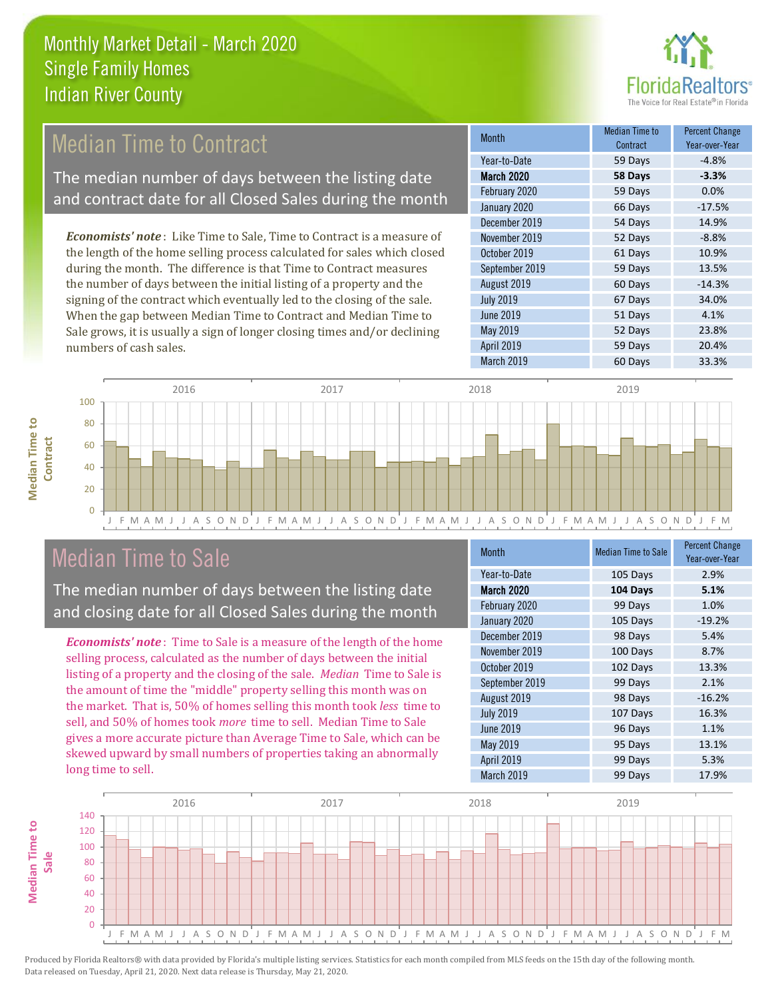

# **Median Time to Contract**

The median number of days between the listing date and contract date for all Closed Sales during the month

*Economists' note* : Like Time to Sale, Time to Contract is a measure of the length of the home selling process calculated for sales which closed during the month. The difference is that Time to Contract measures the number of days between the initial listing of a property and the signing of the contract which eventually led to the closing of the sale. When the gap between Median Time to Contract and Median Time to Sale grows, it is usually a sign of longer closing times and/or declining numbers of cash sales.

| Month             | Median Time to<br>Contract | <b>Percent Change</b><br>Year-over-Year |
|-------------------|----------------------------|-----------------------------------------|
| Year-to-Date      | 59 Days                    | $-4.8%$                                 |
| <b>March 2020</b> | 58 Days                    | $-3.3%$                                 |
| February 2020     | 59 Days                    | 0.0%                                    |
| January 2020      | 66 Days                    | $-17.5%$                                |
| December 2019     | 54 Days                    | 14.9%                                   |
| November 2019     | 52 Days                    | $-8.8%$                                 |
| October 2019      | 61 Days                    | 10.9%                                   |
| September 2019    | 59 Days                    | 13.5%                                   |
| August 2019       | 60 Days                    | $-14.3%$                                |
| <b>July 2019</b>  | 67 Days                    | 34.0%                                   |
| June 2019         | 51 Days                    | 4.1%                                    |
| May 2019          | 52 Days                    | 23.8%                                   |
| April 2019        | 59 Days                    | 20.4%                                   |
| March 2019        | 60 Days                    | 33.3%                                   |



### Median Time to Sale

**Median Time to** 

**Median Time to** 

**Median Time to** 

The median number of days between the listing date and closing date for all Closed Sales during the month

*Economists' note* : Time to Sale is a measure of the length of the home selling process, calculated as the number of days between the initial listing of a property and the closing of the sale. *Median* Time to Sale is the amount of time the "middle" property selling this month was on the market. That is, 50% of homes selling this month took *less* time to sell, and 50% of homes took *more* time to sell. Median Time to Sale gives a more accurate picture than Average Time to Sale, which can be skewed upward by small numbers of properties taking an abnormally long time to sell.

| Month            | <b>Median Time to Sale</b> | <b>Percent Change</b><br>Year-over-Year |
|------------------|----------------------------|-----------------------------------------|
| Year-to-Date     | 105 Days                   | 2.9%                                    |
| March 2020       | 104 Days                   | 5.1%                                    |
| February 2020    | 99 Days                    | 1.0%                                    |
| January 2020     | 105 Days                   | $-19.2%$                                |
| December 2019    | 98 Days                    | 5.4%                                    |
| November 2019    | 100 Days                   | 8.7%                                    |
| October 2019     | 102 Days                   | 13.3%                                   |
| September 2019   | 99 Days                    | 2.1%                                    |
| August 2019      | 98 Days                    | $-16.2%$                                |
| <b>July 2019</b> | 107 Days                   | 16.3%                                   |
| <b>June 2019</b> | 96 Days                    | 1.1%                                    |
| May 2019         | 95 Days                    | 13.1%                                   |
| April 2019       | 99 Days                    | 5.3%                                    |
| March 2019       | 99 Days                    | 17.9%                                   |

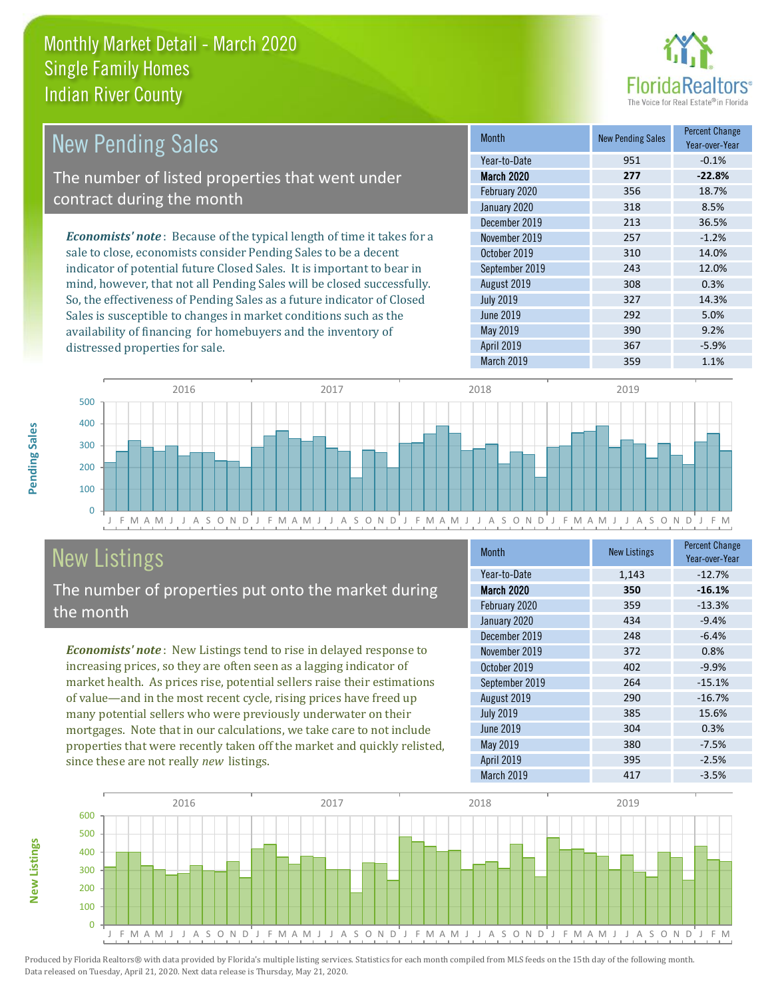distressed properties for sale.



| <b>New Pending Sales</b>                                                      | <b>Month</b>      | <b>New Pending Sales</b> | <b>Percent Change</b><br>Year-over-Year |
|-------------------------------------------------------------------------------|-------------------|--------------------------|-----------------------------------------|
|                                                                               | Year-to-Date      | 951                      | $-0.1%$                                 |
| The number of listed properties that went under                               | <b>March 2020</b> | 277                      | $-22.8%$                                |
| contract during the month                                                     | February 2020     | 356                      | 18.7%                                   |
|                                                                               | January 2020      | 318                      | 8.5%                                    |
|                                                                               | December 2019     | 213                      | 36.5%                                   |
| <b>Economists' note:</b> Because of the typical length of time it takes for a | November 2019     | 257                      | $-1.2%$                                 |
| sale to close, economists consider Pending Sales to be a decent               | October 2019      | 310                      | 14.0%                                   |
| indicator of potential future Closed Sales. It is important to bear in        | September 2019    | 243                      | 12.0%                                   |
| mind, however, that not all Pending Sales will be closed successfully.        | August 2019       | 308                      | 0.3%                                    |
| So, the effectiveness of Pending Sales as a future indicator of Closed        | <b>July 2019</b>  | 327                      | 14.3%                                   |
| Sales is susceptible to changes in market conditions such as the              | June 2019         | 292                      | 5.0%                                    |



# New Listings The number of properties put onto the market during

availability of financing for homebuyers and the inventory of

*Economists' note* : New Listings tend to rise in delayed response to increasing prices, so they are often seen as a lagging indicator of market health. As prices rise, potential sellers raise their estimations of value—and in the most recent cycle, rising prices have freed up the month

many potential sellers who were previously underwater on their mortgages. Note that in our calculations, we take care to not include properties that were recently taken off the market and quickly relisted, since these are not really *new* listings.

| <b>Month</b>     | <b>New Listings</b> | <b>Percent Change</b><br>Year-over-Year |
|------------------|---------------------|-----------------------------------------|
| Year-to-Date     | 1,143               | $-12.7%$                                |
| March 2020       | 350                 | $-16.1%$                                |
| February 2020    | 359                 | $-13.3%$                                |
| January 2020     | 434                 | $-9.4%$                                 |
| December 2019    | 248                 | $-6.4%$                                 |
| November 2019    | 372                 | 0.8%                                    |
| October 2019     | 402                 | $-9.9%$                                 |
| September 2019   | 264                 | $-15.1%$                                |
| August 2019      | 290                 | $-16.7%$                                |
| <b>July 2019</b> | 385                 | 15.6%                                   |
| <b>June 2019</b> | 304                 | 0.3%                                    |
| May 2019         | 380                 | $-7.5%$                                 |
| April 2019       | 395                 | $-2.5%$                                 |
| March 2019       | 417                 | $-3.5%$                                 |

May 2019 **390** 9.2% April 2019 **367** -5.9%



Produced by Florida Realtors® with data provided by Florida's multiple listing services. Statistics for each month compiled from MLS feeds on the 15th day of the following month. Data released on Tuesday, April 21, 2020. Next data release is Thursday, May 21, 2020.

**New Listings**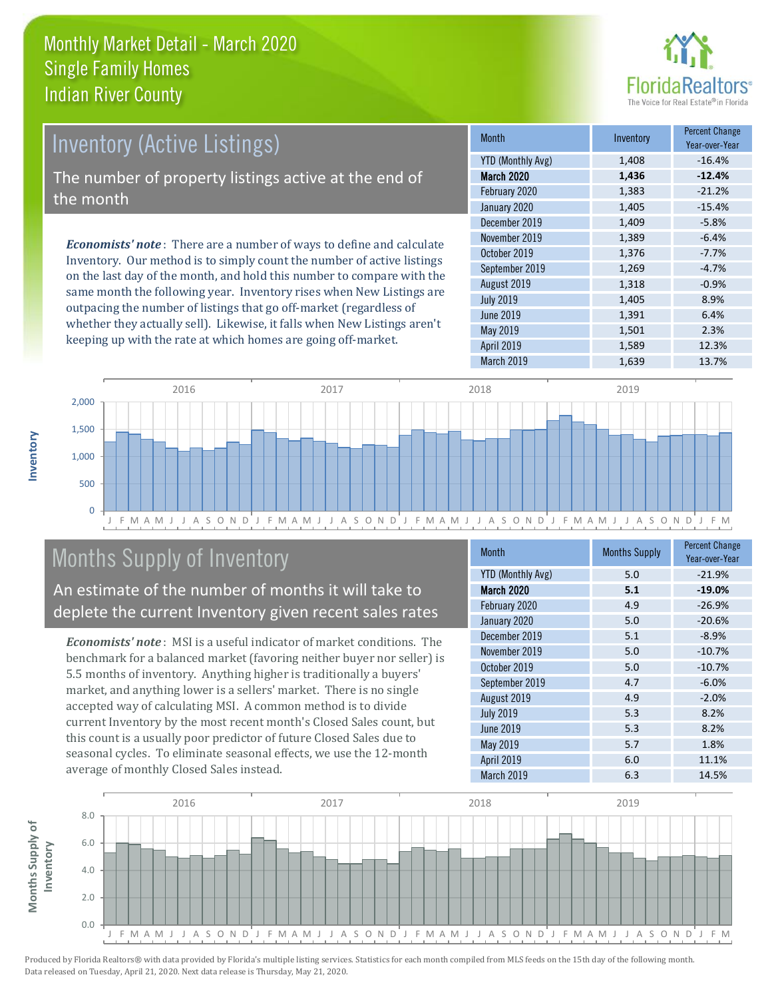

# Inventory (Active Listings)

The number of property listings active at the end of the month

*Economists' note* : There are a number of ways to define and calculate Inventory. Our method is to simply count the number of active listings on the last day of the month, and hold this number to compare with the same month the following year. Inventory rises when New Listings are outpacing the number of listings that go off-market (regardless of whether they actually sell). Likewise, it falls when New Listings aren't keeping up with the rate at which homes are going off-market.

| <b>Month</b>             | Inventory | <b>Percent Change</b><br>Year-over-Year |
|--------------------------|-----------|-----------------------------------------|
| <b>YTD (Monthly Avg)</b> | 1,408     | $-16.4%$                                |
| <b>March 2020</b>        | 1,436     | $-12.4%$                                |
| February 2020            | 1,383     | $-21.2%$                                |
| January 2020             | 1,405     | $-15.4%$                                |
| December 2019            | 1,409     | $-5.8%$                                 |
| November 2019            | 1,389     | $-6.4%$                                 |
| October 2019             | 1,376     | $-7.7%$                                 |
| September 2019           | 1,269     | $-4.7%$                                 |
| August 2019              | 1,318     | $-0.9%$                                 |
| <b>July 2019</b>         | 1,405     | 8.9%                                    |
| <b>June 2019</b>         | 1,391     | 6.4%                                    |
| May 2019                 | 1,501     | 2.3%                                    |
| April 2019               | 1,589     | 12.3%                                   |
| March 2019               | 1,639     | 13.7%                                   |



# Months Supply of Inventory

An estimate of the number of months it will take to deplete the current Inventory given recent sales rates

*Economists' note* : MSI is a useful indicator of market conditions. The benchmark for a balanced market (favoring neither buyer nor seller) is 5.5 months of inventory. Anything higher is traditionally a buyers' market, and anything lower is a sellers' market. There is no single accepted way of calculating MSI. A common method is to divide current Inventory by the most recent month's Closed Sales count, but this count is a usually poor predictor of future Closed Sales due to seasonal cycles. To eliminate seasonal effects, we use the 12-month average of monthly Closed Sales instead.

| Month                    | <b>Months Supply</b> | <b>Percent Change</b><br>Year-over-Year |
|--------------------------|----------------------|-----------------------------------------|
| <b>YTD (Monthly Avg)</b> | 5.0                  | $-21.9%$                                |
| March 2020               | 5.1                  | $-19.0%$                                |
| February 2020            | 4.9                  | $-26.9%$                                |
| January 2020             | 5.0                  | $-20.6%$                                |
| December 2019            | 5.1                  | $-8.9%$                                 |
| November 2019            | 5.0                  | $-10.7%$                                |
| October 2019             | 5.0                  | $-10.7%$                                |
| September 2019           | 4.7                  | $-6.0%$                                 |
| August 2019              | 4.9                  | $-2.0%$                                 |
| <b>July 2019</b>         | 5.3                  | 8.2%                                    |
| <b>June 2019</b>         | 5.3                  | 8.2%                                    |
| May 2019                 | 5.7                  | 1.8%                                    |
| April 2019               | 6.0                  | 11.1%                                   |
| March 2019               | 6.3                  | 14.5%                                   |

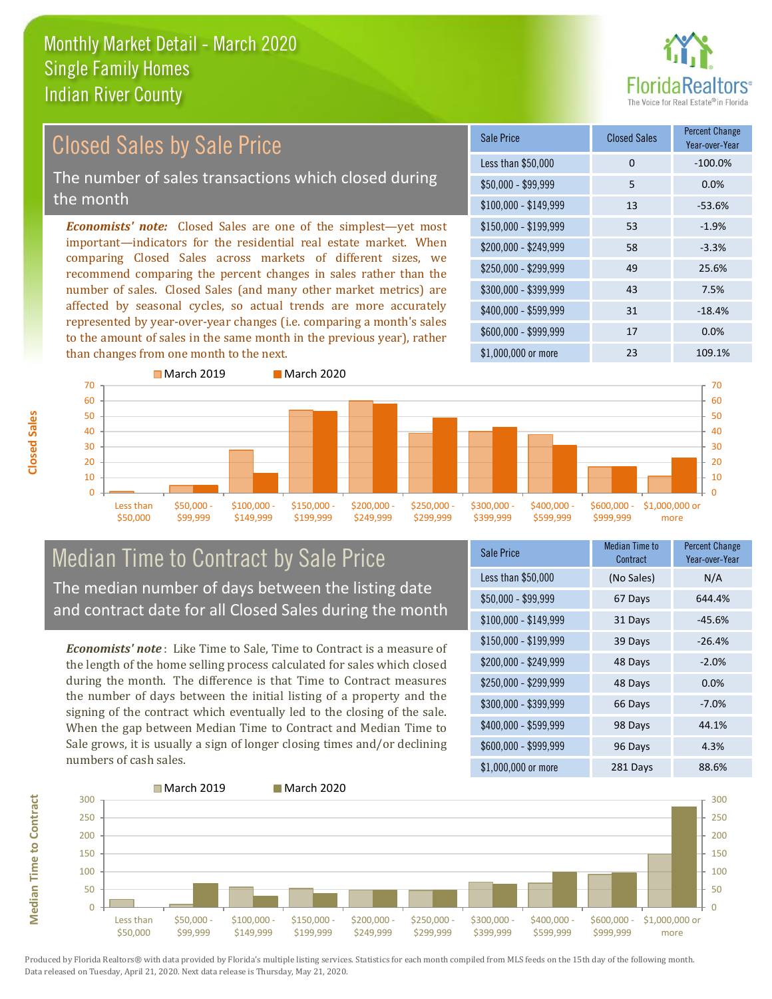

#### *Economists' note:* Closed Sales are one of the simplest—yet most important—indicators for the residential real estate market. When comparing Closed Sales across markets of different sizes, we recommend comparing the percent changes in sales rather than the number of sales. Closed Sales (and many other market metrics) are affected by seasonal cycles, so actual trends are more accurately represented by year-over-year changes (i.e. comparing a month's sales to the amount of sales in the same month in the previous year), rather than changes from one month to the next. \$1,000,000 or more 23 109.1% \$250,000 - \$299,999 49 25.6% \$300,000 - \$399,999 43 7.5% \$400,000 - \$599,999 31 -18.4% \$600,000 - \$999,999 17 0.0% \$150,000 - \$199,999 53 -1.9% \$200,000 - \$249,999 58 -3.3% \$100,000 - \$149,999 13 -53.6% Sale Price Closed Sales Percent Change Year-over-Year Less than \$50,000 0 0 -100.0% \$50,000 - \$99,999 5 0.0% Closed Sales by Sale Price The number of sales transactions which closed during the month



#### Median Time to Contract by Sale Price The median number of days between the listing date and contract date for all Closed Sales during the month

*Economists' note* : Like Time to Sale, Time to Contract is a measure of the length of the home selling process calculated for sales which closed during the month. The difference is that Time to Contract measures the number of days between the initial listing of a property and the signing of the contract which eventually led to the closing of the sale. When the gap between Median Time to Contract and Median Time to Sale grows, it is usually a sign of longer closing times and/or declining numbers of cash sales.

| Sale Price            | Median Time to<br>Contract | <b>Percent Change</b><br>Year-over-Year |
|-----------------------|----------------------------|-----------------------------------------|
| Less than \$50,000    | (No Sales)                 | N/A                                     |
| \$50,000 - \$99,999   | 67 Days                    | 644.4%                                  |
| $$100,000 - $149,999$ | 31 Days                    | $-45.6%$                                |
| $$150,000 - $199,999$ | 39 Days                    | $-26.4%$                                |
| \$200,000 - \$249,999 | 48 Days                    | $-2.0%$                                 |
| \$250,000 - \$299,999 | 48 Days                    | 0.0%                                    |
| \$300,000 - \$399,999 | 66 Days                    | $-7.0%$                                 |
| \$400,000 - \$599,999 | 98 Days                    | 44.1%                                   |
| \$600,000 - \$999,999 | 96 Days                    | 4.3%                                    |
| $$1,000,000$ or more  | 281 Days                   | 88.6%                                   |



Produced by Florida Realtors® with data provided by Florida's multiple listing services. Statistics for each month compiled from MLS feeds on the 15th day of the following month. Data released on Tuesday, April 21, 2020. Next data release is Thursday, May 21, 2020.

**Median Time to Contract**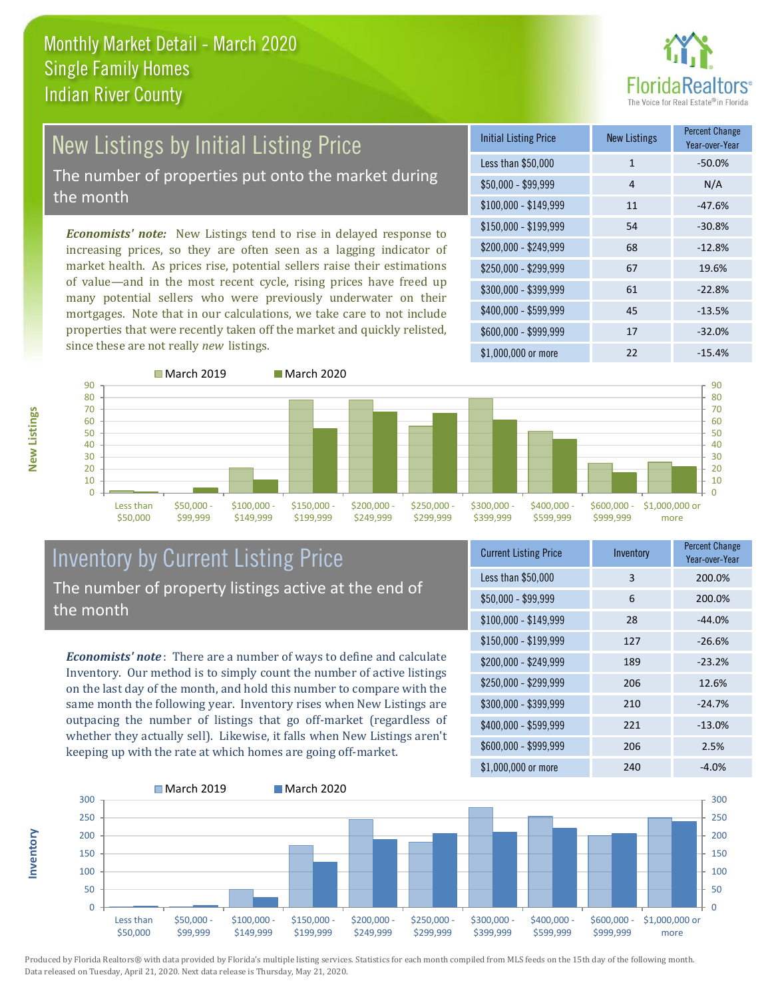

# New Listings by Initial Listing Price The number of properties put onto the market during

the month

*Economists' note:* New Listings tend to rise in delayed response to increasing prices, so they are often seen as a lagging indicator of market health. As prices rise, potential sellers raise their estimations of value—and in the most recent cycle, rising prices have freed up many potential sellers who were previously underwater on their mortgages. Note that in our calculations, we take care to not include properties that were recently taken off the market and quickly relisted, since these are not really *new* listings.

| <b>Initial Listing Price</b> | <b>New Listings</b> | <b>Percent Change</b><br>Year-over-Year |
|------------------------------|---------------------|-----------------------------------------|
| Less than \$50,000           | $\mathbf{1}$        | $-50.0%$                                |
| $$50,000 - $99,999$          | 4                   | N/A                                     |
| $$100,000 - $149,999$        | 11                  | $-47.6%$                                |
| $$150,000 - $199,999$        | 54                  | $-30.8%$                                |
| \$200,000 - \$249,999        | 68                  | $-12.8%$                                |
| \$250,000 - \$299,999        | 67                  | 19.6%                                   |
| \$300,000 - \$399,999        | 61                  | $-22.8%$                                |
| \$400,000 - \$599,999        | 45                  | $-13.5%$                                |
| \$600,000 - \$999,999        | 17                  | $-32.0%$                                |
| \$1,000,000 or more          | 22                  | $-15.4%$                                |



#### Inventory by Current Listing Price The number of property listings active at the end of the month

*Economists' note* : There are a number of ways to define and calculate Inventory. Our method is to simply count the number of active listings on the last day of the month, and hold this number to compare with the same month the following year. Inventory rises when New Listings are outpacing the number of listings that go off-market (regardless of whether they actually sell). Likewise, it falls when New Listings aren't keeping up with the rate at which homes are going off-market.

| <b>Current Listing Price</b> | Inventory | <b>Percent Change</b><br>Year-over-Year |
|------------------------------|-----------|-----------------------------------------|
| Less than \$50,000           | 3         | 200.0%                                  |
| $$50,000 - $99,999$          | 6         | 200.0%                                  |
| $$100,000 - $149,999$        | 28        | $-44.0%$                                |
| $$150,000 - $199,999$        | 127       | $-26.6%$                                |
| \$200,000 - \$249,999        | 189       | $-23.2%$                                |
| \$250,000 - \$299,999        | 206       | 12.6%                                   |
| \$300,000 - \$399,999        | 210       | $-24.7%$                                |
| \$400,000 - \$599,999        | 221       | $-13.0%$                                |
| \$600,000 - \$999,999        | 206       | 2.5%                                    |
| \$1,000,000 or more          | 240       | $-4.0%$                                 |



Produced by Florida Realtors® with data provided by Florida's multiple listing services. Statistics for each month compiled from MLS feeds on the 15th day of the following month. Data released on Tuesday, April 21, 2020. Next data release is Thursday, May 21, 2020.

**Inventory**